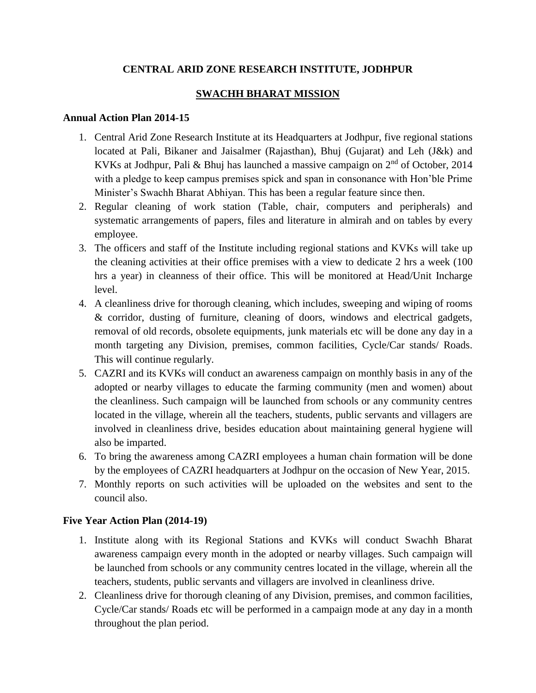## **CENTRAL ARID ZONE RESEARCH INSTITUTE, JODHPUR**

## **SWACHH BHARAT MISSION**

## **Annual Action Plan 2014-15**

- 1. Central Arid Zone Research Institute at its Headquarters at Jodhpur, five regional stations located at Pali, Bikaner and Jaisalmer (Rajasthan), Bhuj (Gujarat) and Leh (J&k) and KVKs at Jodhpur, Pali & Bhuj has launched a massive campaign on  $2<sup>nd</sup>$  of October, 2014 with a pledge to keep campus premises spick and span in consonance with Hon'ble Prime Minister's Swachh Bharat Abhiyan. This has been a regular feature since then.
- 2. Regular cleaning of work station (Table, chair, computers and peripherals) and systematic arrangements of papers, files and literature in almirah and on tables by every employee.
- 3. The officers and staff of the Institute including regional stations and KVKs will take up the cleaning activities at their office premises with a view to dedicate 2 hrs a week (100 hrs a year) in cleanness of their office. This will be monitored at Head/Unit Incharge level.
- 4. A cleanliness drive for thorough cleaning, which includes, sweeping and wiping of rooms & corridor, dusting of furniture, cleaning of doors, windows and electrical gadgets, removal of old records, obsolete equipments, junk materials etc will be done any day in a month targeting any Division, premises, common facilities, Cycle/Car stands/ Roads. This will continue regularly.
- 5. CAZRI and its KVKs will conduct an awareness campaign on monthly basis in any of the adopted or nearby villages to educate the farming community (men and women) about the cleanliness. Such campaign will be launched from schools or any community centres located in the village, wherein all the teachers, students, public servants and villagers are involved in cleanliness drive, besides education about maintaining general hygiene will also be imparted.
- 6. To bring the awareness among CAZRI employees a human chain formation will be done by the employees of CAZRI headquarters at Jodhpur on the occasion of New Year, 2015.
- 7. Monthly reports on such activities will be uploaded on the websites and sent to the council also.

## **Five Year Action Plan (2014-19)**

- 1. Institute along with its Regional Stations and KVKs will conduct Swachh Bharat awareness campaign every month in the adopted or nearby villages. Such campaign will be launched from schools or any community centres located in the village, wherein all the teachers, students, public servants and villagers are involved in cleanliness drive.
- 2. Cleanliness drive for thorough cleaning of any Division, premises, and common facilities, Cycle/Car stands/ Roads etc will be performed in a campaign mode at any day in a month throughout the plan period.